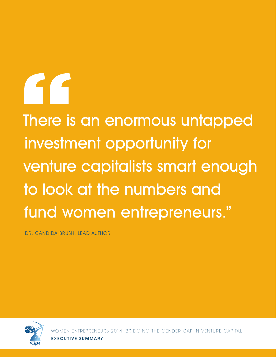# AC<sub>1</sub>

There is an enormous untapped investment opportunity for venture capitalists smart enough to look at the numbers and fund women entrepreneurs."

DR. CANDIDA BRUSH, LEAD AUTHOR



REPRENEURS 2014: BRIDGING THE GENDER GAP IN VENTURE CAPITAL EXECUTIVE SUMMARY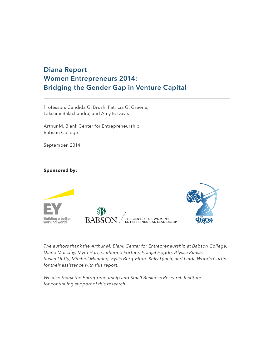#### **Diana Report Women Entrepreneurs 2014: Bridging the Gender Gap in Venture Capital**

Professors Candida G. Brush, Patricia G. Greene, Lakshmi Balachandra, and Amy E. Davis

Arthur M. Blank Center for Entrepreneurship Babson College

September, 2014

#### **Sponsored by:**



*The authors thank the Arthur M. Blank Center for Entrepreneurship at Babson College, Diane Mulcahy, Myra Hart, Catherine Portner, Pranjal Hegde, Alyssa Rimsa, Susan Duffy, Mitchell Manning, Fyllis Berg-Elton, Kelly Lynch, and Linda Woods Curtin for their assistance with this report.*

*We also thank the Entrepreneurship and Small Business Research Institute for continuing support of this research.*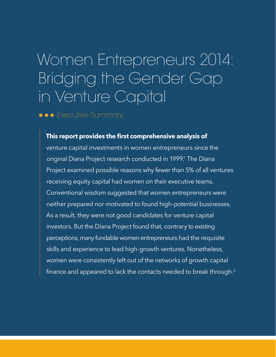# Women Entrepreneurs 2014: Bridging the Gender Gap in Venture Capital

**••** Executive Summary

#### **This report provides the first comprehensive analysis of**

venture capital investments in women entrepreneurs since the original Diana Project research conducted in 1999.<sup>1</sup> The Diana Project examined possible reasons why fewer than 5% of all ventures receiving equity capital had women on their executive teams. Conventional wisdom suggested that women entrepreneurs were neither prepared nor motivated to found high-potential businesses. As a result, they were not good candidates for venture capital investors. But the Diana Project found that, contrary to existing perceptions, many fundable women entrepreneurs had the requisite skills and experience to lead high-growth ventures. Nonetheless, women were consistently left out of the networks of growth capital finance and appeared to lack the contacts needed to break through.<sup>2</sup>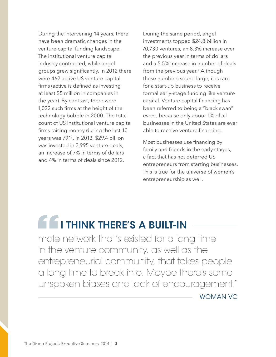During the intervening 14 years, there have been dramatic changes in the venture capital funding landscape. The institutional venture capital industry contracted, while angel groups grew significantly. In 2012 there were 462 active US venture capital firms (active is defined as investing at least \$5 million in companies in the year). By contrast, there were 1,022 such firms at the height of the technology bubble in 2000. The total count of US institutional venture capital firms raising money during the last 10 years was 7913. In 2013, \$29.4 billion was invested in 3,995 venture deals, an increase of 7% in terms of dollars and 4% in terms of deals since 2012.

During the same period, angel investments topped \$24.8 billion in 70,730 ventures, an 8.3% increase over the previous year in terms of dollars and a 5.5% increase in number of deals from the previous year.<sup>4</sup> Although these numbers sound large, it is rare for a start-up business to receive formal early-stage funding like venture capital. Venture capital financing has been referred to being a "black swan" event, because only about 1% of all businesses in the United States are ever able to receive venture financing.

Most businesses use financing by family and friends in the early stages, a fact that has not deterred US entrepreneurs from starting businesses. This is true for the universe of women's entrepreneurship as well.

# **E E** I THINK THERE'S A BUILT-IN

male network that's existed for a long time in the venture community, as well as the entrepreneurial community, that takes people a long time to break into. Maybe there's some unspoken biases and lack of encouragement."

WOMAN VC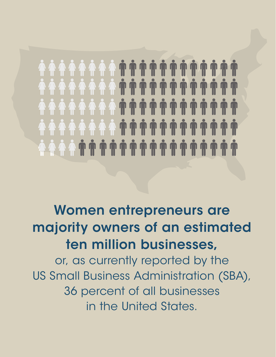### Women entrepreneurs are majority owners of an estimated ten million businesses,

or, as currently reported by the US Small Business Administration (SBA), 36 percent of all businesses in the United States.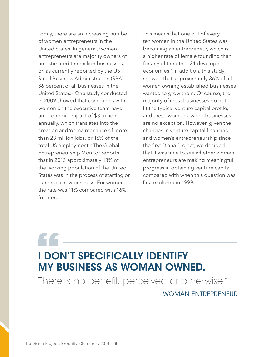Today, there are an increasing number of women entrepreneurs in the United States. In general, women entrepreneurs are majority owners of an estimated ten million businesses, or, as currently reported by the US Small Business Administration (SBA), 36 percent of all businesses in the United States.5 One study conducted in 2009 showed that companies with women on the executive team have an economic impact of \$3 trillion annually, which translates into the creation and/or maintenance of more than 23 million jobs, or 16% of the total US employment.<sup>6</sup> The Global Entrepreneurship Monitor reports that in 2013 approximately 13% of the working population of the United States was in the process of starting or running a new business. For women, the rate was 11% compared with 16% for men.

This means that one out of every ten women in the United States was becoming an entrepreneur, which is a higher rate of female founding than for any of the other 24 developed economies.<sup>7</sup> In addition, this study showed that approximately 36% of all women owning established businesses wanted to grow them. Of course, the majority of most businesses do not fit the typical venture capital profile, and these women-owned businesses are no exception. However, given the changes in venture capital financing and women's entrepreneurship since the first Diana Project, we decided that it was time to see whether women entrepreneurs are making meaningful progress in obtaining venture capital compared with when this question was first explored in 1999.

### I DON'T SPECIFICALLY IDENTIFY MY BUSINESS AS WOMAN OWNED.

There is no benefit, perceived or otherwise."

WOMAN ENTREPRENEUR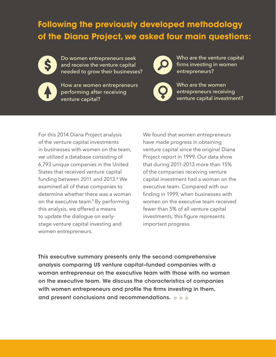### **Following the previously developed methodology of the Diana Project, we asked four main questions:**



Do women entrepreneurs seek and receive the venture capital needed to grow their businesses?



How are women entrepreneurs performing after receiving venture capital?



Who are the venture capital firms investing in women entrepreneurs?



Who are the women entrepreneurs receiving venture capital investment?

For this 2014 Diana Project analysis of the venture capital investments in businesses with women on the team, we utilized a database consisting of 6,793 unique companies in the United States that received venture capital funding between 2011 and 2013.<sup>8</sup> We examined all of these companies to determine whether there was a woman on the executive team.<sup>9</sup> By performing this analysis, we offered a means to update the dialogue on earlystage venture capital investing and women entrepreneurs.

We found that women entrepreneurs have made progress in obtaining venture capital since the original Diana Project report in 1999. Our data show that during 2011-2013 more than 15% of the companies receiving venture capital investment had a woman on the executive team. Compared with our finding in 1999, when businesses with women on the executive team received fewer than 5% of all venture capital investments, this figure represents important progress.

This executive summary presents only the second comprehensive analysis comparing US venture capital–funded companies with a woman entrepreneur on the executive team with those with no women on the executive team. We discuss the characteristics of companies with women entrepreneurs and profile the firms investing in them, and present conclusions and recommendations.  $\bullet \bullet \bullet$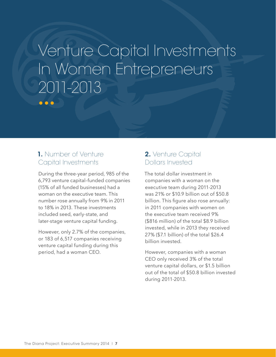### Venture Capital Investments In Women Entrepreneurs 2011-2013 $\bullet\bullet\bullet$

#### 1. Number of Venture Capital Investments

During the three-year period, 985 of the 6,793 venture capital–funded companies (15% of all funded businesses) had a woman on the executive team. This number rose annually from 9% in 2011 to 18% in 2013. These investments included seed, early-state, and later-stage venture capital funding.

However, only 2.7% of the companies, or 183 of 6,517 companies receiving venture capital funding during this period, had a woman CEO.

#### 2. Venture Capital Dollars Invested

The total dollar investment in companies with a woman on the executive team during 2011-2013 was 21% or \$10.9 billion out of \$50.8 billion. This figure also rose annually: in 2011 companies with women on the executive team received 9% (\$816 million) of the total \$8.9 billion invested, while in 2013 they received 27% (\$7.1 billion) of the total \$26.4 billion invested.

However, companies with a woman CEO only received 3% of the total venture capital dollars, or \$1.5 billion out of the total of \$50.8 billion invested during 2011-2013.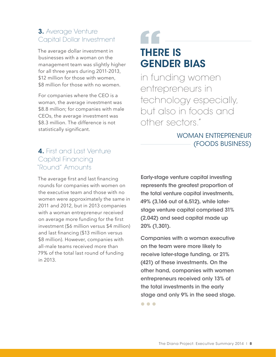#### 3. Average Venture Capital Dollar Investment

The average dollar investment in businesses with a woman on the management team was slightly higher for all three years during 2011-2013, \$12 million for those with women. \$8 million for those with no women.

For companies where the CEO is a woman, the average investment was \$8.8 million; for companies with male CEOs, the average investment was \$8.3 million. The difference is not statistically significant.

### " THERE IS GENDER BIAS

in funding women entrepreneurs in technology especially, but also in foods and other sectors."

#### WOMAN ENTREPRENEUR (FOODS BUSINESS)

#### 4. First and Last Venture Capital Financing "Round" Amounts

The average first and last financing rounds for companies with women on the executive team and those with no women were approximately the same in 2011 and 2012, but in 2013 companies with a woman entrepreneur received on average more funding for the first investment (\$6 million versus \$4 million) and last financing (\$13 million versus \$8 million). However, companies with all-male teams received more than 79% of the total last round of funding in 2013.

Early-stage venture capital investing represents the greatest proportion of the total venture capital investments, 49% (3,166 out of 6,512), while laterstage venture capital comprised 31% (2,042) and seed capital made up 20% (1,301).

Companies with a woman executive on the team were more likely to receive later-stage funding, or 21% (421) of these investments. On the other hand, companies with women entrepreneurs received only 13% of the total investments in the early stage and only 9% in the seed stage.

 $\bullet\bullet\bullet$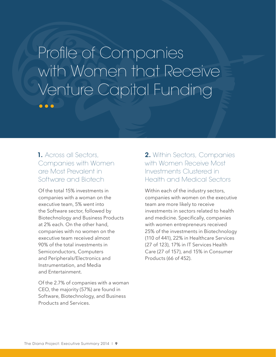### Profile of Companies with Women that Receive Venture Capital Funding $\bullet\bullet\bullet$

#### 1. Across all Sectors, Companies with Women are Most Prevalent in Software and Biotech

Of the total 15% investments in companies with a woman on the executive team, 5% went into the Software sector, followed by Biotechnology and Business Products at 2% each. On the other hand, companies with no women on the executive team received almost 90% of the total investments in Semiconductors, Computers and Peripherals/Electronics and Instrumentation, and Media and Entertainment.

Of the 2.7% of companies with a woman CEO, the majority (57%) are found in Software, Biotechnology, and Business Products and Services.

#### 2. Within Sectors, Companies with Women Receive Most Investments Clustered in Health and Medical Sectors

Within each of the industry sectors, companies with women on the executive team are more likely to receive investments in sectors related to health and medicine. Specifically, companies with women entrepreneurs received 25% of the investments in Biotechnology (110 of 441), 22% in Healthcare Services (27 of 123), 17% in IT Services Health Care (27 of 157), and 15% in Consumer Products (66 of 452).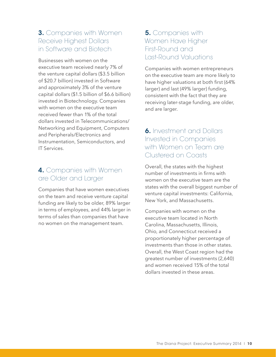#### **3.** Companies with Women Receive Highest Dollars in Software and Biotech

Businesses with women on the executive team received nearly 7% of the venture capital dollars (\$3.5 billion of \$20.7 billion) invested in Software and approximately 3% of the venture capital dollars (\$1.5 billion of \$6.6 billion) invested in Biotechnology. Companies with women on the executive team received fewer than 1% of the total dollars invested in Telecommunications/ Networking and Equipment, Computers and Peripherals/Electronics and Instrumentation, Semiconductors, and IT Services.

#### 4. Companies with Women are Older and Larger

Companies that have women executives on the team and receive venture capital funding are likely to be older, 89% larger in terms of employees, and 44% larger in terms of sales than companies that have no women on the management team.

#### **5.** Companies with Women Have Higher First-Round and Last-Round Valuations

Companies with women entrepreneurs on the executive team are more likely to have higher valuations at both first (64% larger) and last (49% larger) funding, consistent with the fact that they are receiving later-stage funding, are older, and are larger.

#### **6.** Investment and Dollars Invested in Companies with Women on Team are Clustered on Coasts

Overall, the states with the highest number of investments in firms with women on the executive team are the states with the overall biggest number of venture capital investments: California, New York, and Massachusetts.

Companies with women on the executive team located in North Carolina, Massachusetts, Illinois, Ohio, and Connecticut received a proportionately higher percentage of investments than those in other states. Overall, the West Coast region had the greatest number of investments (2,640) and women received 15% of the total dollars invested in these areas.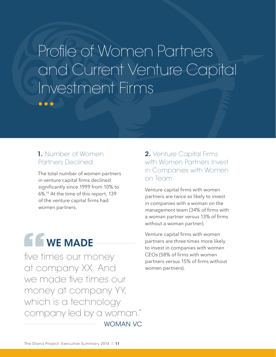Profile of Women Partners and Current Venture Capital Investment Firms  $\bullet\bullet\bullet$ 

#### 1. Number of Women Partners Declined

The total number of women partners in venture capital firms declined significantly since 1999 from 10% to 6%.10 At the time of this report, 139 of the venture capital firms had women partners.



five times our money at company XX. And we made five times our money at company YY, which is a technology company led by a woman." WOMAN VC

#### 2. Venture Capital Firms with Women Partners Invest in Companies with Women on Team

Venture capital firms with women partners are twice as likely to invest in companies with a woman on the management team (34% of firms with a woman partner versus 13% of firms without a woman partner).

Venture capital firms with women partners are three times more likely to invest in companies with women CEOs (58% of firms with women partners versus 15% of firms without women partners).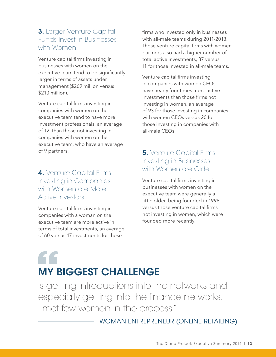#### 3. Larger Venture Capital Funds Invest in Businesses with Women

Venture capital firms investing in businesses with women on the executive team tend to be significantly larger in terms of assets under management (\$269 million versus \$210 million).

Venture capital firms investing in companies with women on the executive team tend to have more investment professionals, an average of 12, than those not investing in companies with women on the executive team, who have an average of 9 partners.

4. Venture Capital Firms Investing in Companies with Women are More Active Investors

Venture capital firms investing in companies with a woman on the executive team are more active in terms of total investments, an average of 60 versus 17 investments for those

firms who invested only in businesses with all-male teams during 2011-2013. Those venture capital firms with women partners also had a higher number of total active investments, 37 versus 11 for those invested in all-male teams.

Venture capital firms investing in companies with women CEOs have nearly four times more active investments than those firms not investing in women, an average of 93 for those investing in companies with women CEOs versus 20 for those investing in companies with all-male CEOs.

#### **5.** Venture Capital Firms Investing in Businesses with Women are Older

Venture capital firms investing in businesses with women on the executive team were generally a little older, being founded in 1998 versus those venture capital firms not investing in women, which were founded more recently.

### MY BIGGEST CHALLENGE

is getting introductions into the networks and especially getting into the finance networks. I met few women in the process."

WOMAN ENTREPRENEUR (ONLINE RETAILING)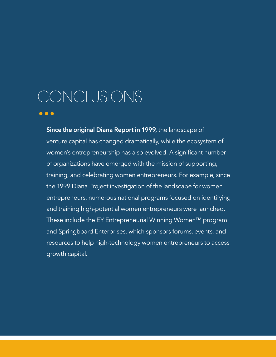# CONCLUSIONS

 $\bullet\bullet\bullet$ 

**Since the original Diana Report in 1999,** the landscape of venture capital has changed dramatically, while the ecosystem of women's entrepreneurship has also evolved. A significant number of organizations have emerged with the mission of supporting, training, and celebrating women entrepreneurs. For example, since the 1999 Diana Project investigation of the landscape for women entrepreneurs, numerous national programs focused on identifying and training high-potential women entrepreneurs were launched. These include the EY Entrepreneurial Winning Women™ program and Springboard Enterprises, which sponsors forums, events, and resources to help high-technology women entrepreneurs to access growth capital.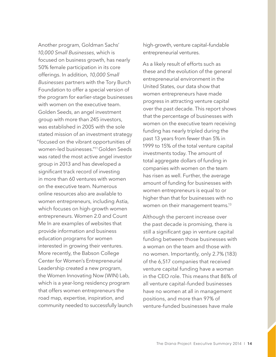Another program, Goldman Sachs' *10,000 Small Businesses*, which is focused on business growth, has nearly 50% female participation in its core offerings. In addition, *10,000 Small Businesses* partners with the Tory Burch Foundation to offer a special version of the program for earlier-stage businesses with women on the executive team. Golden Seeds, an angel investment group with more than 245 investors, was established in 2005 with the sole stated mission of an investment strategy "focused on the vibrant opportunities of women-led businesses."11 Golden Seeds was rated the most active angel investor group in 2013 and has developed a significant track record of investing in more than 60 ventures with women on the executive team. Numerous online resources also are available to women entrepreneurs, including Astia, which focuses on high-growth women entrepreneurs. Women 2.0 and Count Me In are examples of websites that provide information and business education programs for women interested in growing their ventures. More recently, the Babson College Center for Women's Entrepreneurial Leadership created a new program, the Women Innovating Now (WIN) Lab, which is a year-long residency program that offers women entrepreneurs the road map, expertise, inspiration, and community needed to successfully launch high-growth, venture capital–fundable entrepreneurial ventures.

As a likely result of efforts such as these and the evolution of the general entrepreneurial environment in the United States, our data show that women entrepreneurs have made progress in attracting venture capital over the past decade. This report shows that the percentage of businesses with women on the executive team receiving funding has nearly tripled during the past 13 years from fewer than 5% in 1999 to 15% of the total venture capital investments today. The amount of total aggregate dollars of funding in companies with women on the team has risen as well. Further, the average amount of funding for businesses with women entrepreneurs is equal to or higher than that for businesses with no women on their management teams.13

Although the percent increase over the past decade is promising, there is still a significant gap in venture capital funding between those businesses with a woman on the team and those with no women. Importantly, only 2.7% (183) of the 6,517 companies that received venture capital funding have a woman in the CEO role. This means that 86% of all venture capital–funded businesses have no women at all in management positions, and more than 97% of venture-funded businesses have male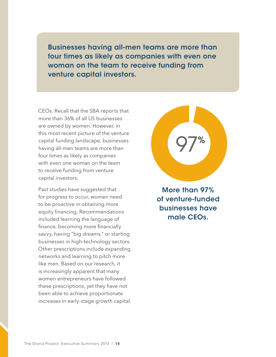Businesses having all-men teams are more than four times as likely as companies with even one woman on the team to receive funding from venture capital investors.

CEOs. Recall that the SBA reports that more than 36% of all US businesses are owned by women. However, in this most recent picture of the venture capital funding landscape, businesses having all-men teams are more than four times as likely as companies with even one woman on the team to receive funding from venture capital investors.

Past studies have suggested that for progress to occur, women need to be proactive in obtaining more equity financing. Recommendations included learning the language of finance, becoming more financially savvy, having "big dreams," or starting businesses in high-technology sectors. Other prescriptions include expanding networks and learning to pitch more like men. Based on our research, it is increasingly apparent that many women entrepreneurs have followed these prescriptions, yet they have not been able to achieve proportionate increases in early-stage growth capital.

More than 97% of venture-funded businesses have male CEOs.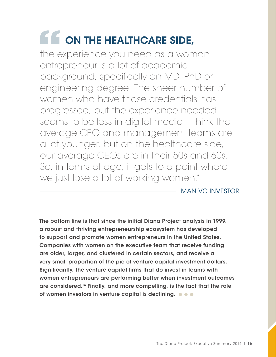# **CON THE HEALTHCARE SIDE,**

the experience you need as a woman entrepreneur is a lot of academic background, specifically an MD, PhD or engineering degree. The sheer number of women who have those credentials has progressed, but the experience needed seems to be less in digital media. I think the average CEO and management teams are a lot younger, but on the healthcare side, our average CEOs are in their 50s and 60s. So, in terms of age, it gets to a point where we just lose a lot of working women."

MAN VC INVESTOR

The bottom line is that since the initial Diana Project analysis in 1999, a robust and thriving entrepreneurship ecosystem has developed to support and promote women entrepreneurs in the United States. Companies with women on the executive team that receive funding are older, larger, and clustered in certain sectors, and receive a very small proportion of the pie of venture capital investment dollars. Significantly, the venture capital firms that do invest in teams with women entrepreneurs are performing better when investment outcomes are considered.14 Finally, and more compelling, is the fact that the role of women investors in venture capital is declining.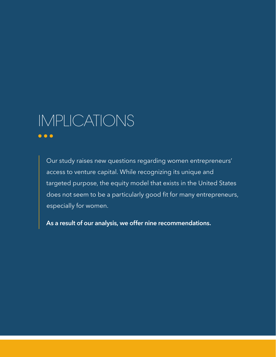### IMPLICATIONS $\bullet\bullet\bullet$

Our study raises new questions regarding women entrepreneurs' access to venture capital. While recognizing its unique and targeted purpose, the equity model that exists in the United States does not seem to be a particularly good fit for many entrepreneurs, especially for women.

**As a result of our analysis, we offer nine recommendations.**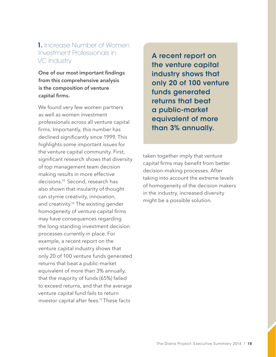#### 1. Increase Number of Women Investment Professionals in VC Industry

**One of our most important findings from this comprehensive analysis is the composition of venture capital firms.**

We found very few women partners as well as women investment professionals across all venture capital firms. Importantly, this number has declined significantly since 1999. This highlights some important issues for the venture capital community. First, significant research shows that diversity of top management team decision making results in more effective decisions.15 Second, research has also shown that insularity of thought can stymie creativity, innovation, and creativity.<sup>16</sup> The existing gender homogeneity of venture capital firms may have consequences regarding the long-standing investment decision processes currently in place. For example, a recent report on the venture capital industry shows that only 20 of 100 venture funds generated returns that beat a public-market equivalent of more than 3% annually, that the majority of funds (65%) failed to exceed returns, and that the average venture capital fund fails to return investor capital after fees.17 These facts

A recent report on the venture capital industry shows that only 20 of 100 venture funds generated returns that beat a public-market equivalent of more than 3% annually.

taken together imply that venture capital firms may benefit from better decision-making processes. After taking into account the extreme levels of homogeneity of the decision makers in the industry, increased diversity might be a possible solution.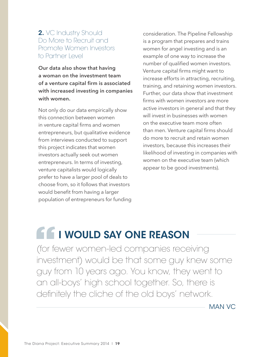#### 2. VC Industry Should Do More to Recruit and Promote Women Investors to Partner Level

**Our data also show that having a woman on the investment team of a venture capital firm is associated with increased investing in companies with women.**

Not only do our data empirically show this connection between women in venture capital firms and women entrepreneurs, but qualitative evidence from interviews conducted to support this project indicates that women investors actually seek out women entrepreneurs. In terms of investing, venture capitalists would logically prefer to have a larger pool of deals to choose from, so it follows that investors would benefit from having a larger population of entrepreneurs for funding

consideration. The Pipeline Fellowship is a program that prepares and trains women for angel investing and is an example of one way to increase the number of qualified women investors. Venture capital firms might want to increase efforts in attracting, recruiting, training, and retaining women investors. Further, our data show that investment firms with women investors are more active investors in general and that they will invest in businesses with women on the executive team more often than men. Venture capital firms should do more to recruit and retain women investors, because this increases their likelihood of investing in companies with women on the executive team (which appear to be good investments).

### **IF IF I WOULD SAY ONE REASON**

(for fewer women-led companies receiving investment) would be that some guy knew some guy from 10 years ago. You know, they went to an all-boys' high school together. So, there is definitely the cliche of the old boys' network.

MAN VC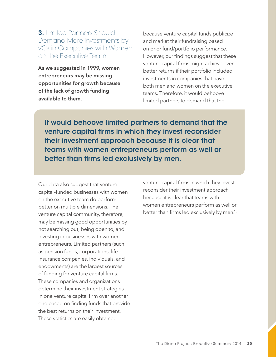#### 3. Limited Partners Should Demand More Investments by VCs in Companies with Women on the Executive Team

**As we suggested in 1999, women entrepreneurs may be missing opportunities for growth because of the lack of growth funding available to them.**

because venture capital funds publicize and market their fundraising based on prior fund/portfolio performance. However, our findings suggest that these venture capital firms might achieve even better returns if their portfolio included investments in companies that have both men and women on the executive teams. Therefore, it would behoove limited partners to demand that the

It would behoove limited partners to demand that the venture capital firms in which they invest reconsider their investment approach because it is clear that teams with women entrepreneurs perform as well or better than firms led exclusively by men.

Our data also suggest that venture capital–funded businesses with women on the executive team do perform better on multiple dimensions. The venture capital community, therefore, may be missing good opportunities by not searching out, being open to, and investing in businesses with women entrepreneurs. Limited partners (such as pension funds, corporations, life insurance companies, individuals, and endowments) are the largest sources of funding for venture capital firms. These companies and organizations determine their investment strategies in one venture capital firm over another one based on finding funds that provide the best returns on their investment. These statistics are easily obtained

venture capital firms in which they invest reconsider their investment approach because it is clear that teams with women entrepreneurs perform as well or better than firms led exclusively by men.<sup>18</sup>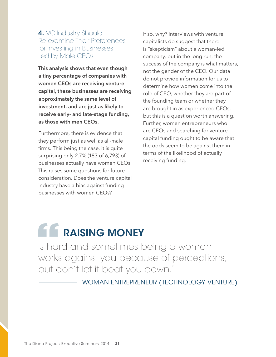#### 4. VC Industry Should Re-examine Their Preferences for Investing in Businesses Led by Male CEOs

**This analysis shows that even though a tiny percentage of companies with women CEOs are receiving venture capital, these businesses are receiving approximately the same level of investment, and are just as likely to receive early- and late-stage funding, as those with men CEOs.**

Furthermore, there is evidence that they perform just as well as all-male firms. This being the case, it is quite surprising only 2.7% (183 of 6,793) of businesses actually have women CEOs. This raises some questions for future consideration. Does the venture capital industry have a bias against funding businesses with women CEOs?

If so, why? Interviews with venture capitalists do suggest that there is "skepticism" about a woman-led company, but in the long run, the success of the company is what matters, not the gender of the CEO. Our data do not provide information for us to determine how women come into the role of CEO, whether they are part of the founding team or whether they are brought in as experienced CEOs, but this is a question worth answering. Further, women entrepreneurs who are CEOs and searching for venture capital funding ought to be aware that the odds seem to be against them in terms of the likelihood of actually receiving funding.

### **A.C.** RAISING MONEY

is hard and sometimes being a woman works against you because of perceptions, but don't let it beat you down."

WOMAN ENTREPRENEUR (TECHNOLOGY VENTURE)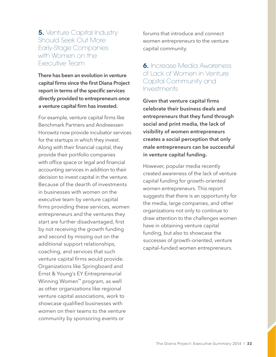#### **5.** Venture Capital Industry Should Seek Out More Early-Stage Companies with Women on the Executive Team

**There has been an evolution in venture capital firms since the first Diana Project report in terms of the specific services directly provided to entrepreneurs once a venture capital firm has invested.**

For example, venture capital firms like Benchmark Partners and Andreessen Horowitz now provide incubator services for the startups in which they invest. Along with their financial capital, they provide their portfolio companies with office space or legal and financial accounting services in addition to their decision to invest capital in the venture. Because of the dearth of investments in businesses with women on the executive team by venture capital firms providing these services, women entrepreneurs and the ventures they start are further disadvantaged, first by not receiving the growth funding and second by missing out on the additional support relationships, coaching, and services that such venture capital firms would provide. Organizations like Springboard and Ernst & Young's EY Entrepreneurial Winning Women™ program, as well as other organizations like regional venture capital associations, work to showcase qualified businesses with women on their teams to the venture community by sponsoring events or

forums that introduce and connect women entrepreneurs to the venture capital community.

#### 6. Increase Media Awareness of Lack of Women in Venture Capital Community and Investments

**Given that venture capital firms celebrate their business deals and entrepreneurs that they fund through social and print media, the lack of visibility of women entrepreneurs creates a social perception that only male entrepreneurs can be successful in venture capital funding.**

However, popular media recently created awareness of the lack of venture capital funding for growth-oriented women entrepreneurs. This report suggests that there is an opportunity for the media, large companies, and other organizations not only to continue to draw attention to the challenges women have in obtaining venture capital funding, but also to showcase the successes of growth-oriented, venture capital–funded women entrepreneurs.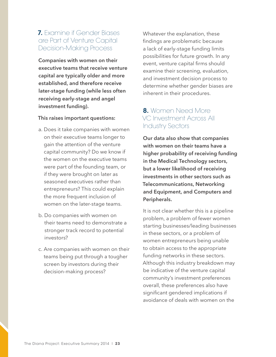#### 7. Examine if Gender Biases are Part of Venture Capital Decision-Making Process

**Companies with women on their executive teams that receive venture capital are typically older and more established, and therefore receive later-stage funding (while less often receiving early-stage and angel investment funding).** 

#### **This raises important questions:**

- a. Does it take companies with women on their executive teams longer to gain the attention of the venture capital community? Do we know if the women on the executive teams were part of the founding team, or if they were brought on later as seasoned executives rather than entrepreneurs? This could explain the more frequent inclusion of women on the later-stage teams.
- b. Do companies with women on their teams need to demonstrate a stronger track record to potential investors?
- c. Are companies with women on their teams being put through a tougher screen by investors during their decision-making process?

Whatever the explanation, these findings are problematic because a lack of early-stage funding limits possibilities for future growth. In any event, venture capital firms should examine their screening, evaluation, and investment decision process to determine whether gender biases are inherent in their procedures.

#### 8. Women Need More VC Investment Across All Industry Sectors

**Our data also show that companies with women on their teams have a higher probability of receiving funding in the Medical Technology sectors, but a lower likelihood of receiving investments in other sectors such as Telecommunications, Networking and Equipment, and Computers and Peripherals.**

It is not clear whether this is a pipeline problem, a problem of fewer women starting businesses/leading businesses in these sectors, or a problem of women entrepreneurs being unable to obtain access to the appropriate funding networks in these sectors. Although this industry breakdown may be indicative of the venture capital community's investment preferences overall, these preferences also have significant gendered implications if avoidance of deals with women on the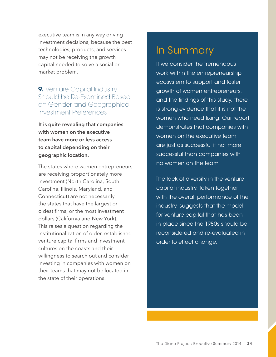executive team is in any way driving investment decisions, because the best technologies, products, and services may not be receiving the growth capital needed to solve a social or market problem.

#### 9. Venture Capital Industry Should be Re-Examined Based on Gender and Geographical Investment Preferences

**It is quite revealing that companies with women on the executive team have more or less access to capital depending on their geographic location.**

The states where women entrepreneurs are receiving proportionately more investment (North Carolina, South Carolina, Illinois, Maryland, and Connecticut) are not necessarily the states that have the largest or oldest firms, or the most investment dollars (California and New York). This raises a question regarding the institutionalization of older, established venture capital firms and investment cultures on the coasts and their willingness to search out and consider investing in companies with women on their teams that may not be located in the state of their operations.

### In Summary

If we consider the tremendous work within the entrepreneurship ecosystem to support and foster growth of women entrepreneurs, and the findings of this study, there is strong evidence that it is not the women who need fixing. Our report demonstrates that companies with women on the executive team are just as successful if not more successful than companies with no women on the team.

The lack of diversity in the venture capital industry, taken together with the overall performance of the industry, suggests that the model for venture capital that has been in place since the 1980s should be reconsidered and re-evaluated in order to effect change.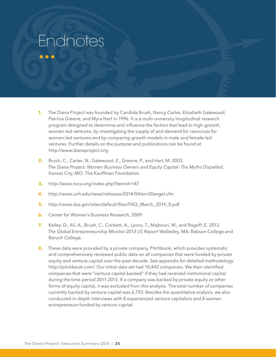## Endnotes

 $\bullet\bullet\bullet$ 

- **1.** The Diana Project was founded by Candida Brush, Nancy Carter, Elizabeth Gatewood, Patricia Greene, and Myra Hart in 1996. It is a multi-university longitudinal research program designed to determine and influence the factors that lead to high-growth, women-led ventures, by investigating the supply of and demand for resources for women-led ventures and by comparing growth models in-male and female-led ventures. Further details on the purpose and publications can be found at http://www.dianaproject.org.
- **2.** Brush, C., Carter, N., Gatewood, E., Greene, P., and Hart, M. 2003. *The Diana Project: Women Business Owners and Equity Capital: The Myths Dispelled*, Kansas City, MO: The Kauffman Foundation.
- **3.** http://www.nvca.org/index.php?Itemid=147
- **4.** http://www.unh.edu/news/releases/2014/04/em30angel.cfm
- **5.** http://www.sba.gov/sites/default/files/FAQ\_March\_2014\_0.pdf
- **6.** Center for Women's Business Research, 2009.
- **7.** Kelley, D., Ali, A., Brush, C., Corbett, A., Lyons, T., Majbouri, M., and Rogoff, E. 2013. *The Global Entrepreneurship Monitor 2013 US Report* Wellesley, MA: Babson College and Baruch College.
- **8.** These data were provided by a private company, Pitchbook, which provides systematic and comprehensively reviewed public data on all companies that were funded by private equity and venture capital over the past decade. See appendix for detailed methodology. http://pitchbook.com/. Our initial data set had 10,443 companies. We then identified companies that were "venture capital backed" if they had received institutional capital during the time period 2011-2013. If a company was backed by private equity or other forms of equity capital, it was excluded from this analysis. The total number of companies currently backed by venture capital was 6,793. Besides the quantitative analysis, we also conducted in-depth interviews with 8 experienced venture capitalists and 8 women entrepreneurs funded by venture capital.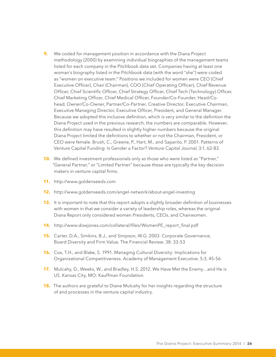- **9.** We coded for management position in accordance with the Diana Project methodology (2000) by examining individual biographies of the management teams listed for each company in the Pitchbook data set. Companies having at least one woman's biography listed in the Pitchbook data (with the word "she") were coded as "women on executive team." Positions we included for women were CEO (Chief Executive Officer), Chair (Chairman), COO (Chief Operating Officer), Chief Revenue Officer, Chief Scientific Officer, Chief Strategy Officer, Chief Tech (Technology) Officer, Chief Marketing Officer, Chief Medical Officer, Founder/Co-Founder, Head/Cohead, Owner/Co-Owner, Partner/Co-Partner, Creative Director, Executive Chairman, Executive Managing Director, Executive Officer, President, and General Manager. Because we adopted this inclusive definition, which is very similar to the definition the Diana Project used in the previous research, the numbers are comparable. However, this definition may have resulted in slightly higher numbers because the original Diana Project limited the definitions to whether or not the Chairman, President, or CEO were female. Brush, C., Greene, P., Hart, M., and Saparito, P. 2001. Patterns of Venture Capital Funding: Is Gender a Factor? *Venture Capital Journal*, 3:1, 62-83.
- **10.** We defined investment professionals only as those who were listed as "Partner," "General Partner," or "Limited Partner" because these are typically the key decision makers in venture capital firms.
- **11.** http://www.goldenseeds.com
- **12.** http://www.goldenseeds.com/angel-network/about-angel-investing
- **13.** It is important to note that this report adopts a slightly broader definition of businesses with women in that we consider a variety of leadership roles, whereas the original Diana Report only considered women Presidents, CEOs, and Chairwomen.
- **14.** http://www.dowjones.com/collateral/files/WomenPE\_report\_final.pdf
- **15.** Carter, D.A., Simkins, B.J., and Simpson, W.G. 2003. Corporate Governance, Board Diversity and Firm Value, The Financial Review. 38: 33-53
- **16.** Cox, T.H., and Blake, S. 1991. Managing Cultural Diversity: Implications for Organizational Competitiveness. Academy of Management Executive. 5:3, 45-56
- **17.** Mulcahy, D., Weeks, W., and Bradley, H.S. 2012. We Have Met the Enemy…and He is US. Kansas City, MO: Kauffman Foundation.
- **18.** The authors are grateful to Diane Mulcahy for her insights regarding the structure of and processes in the venture capital industry.